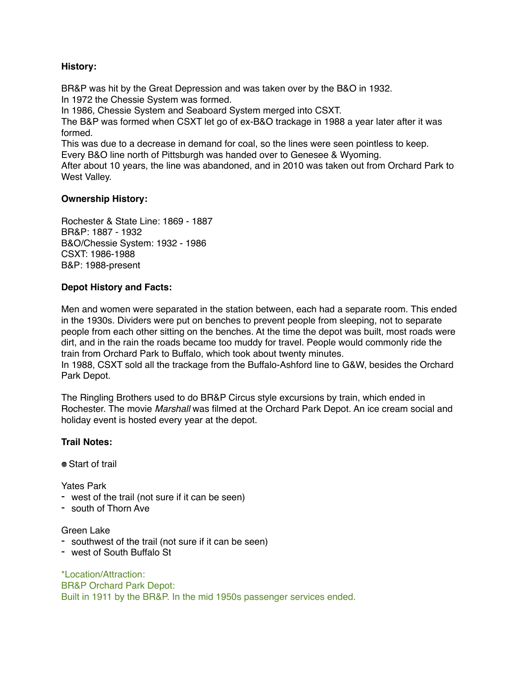### **History:**

BR&P was hit by the Great Depression and was taken over by the B&O in 1932. In 1972 the Chessie System was formed.

In 1986, Chessie System and Seaboard System merged into CSXT.

The B&P was formed when CSXT let go of ex-B&O trackage in 1988 a year later after it was formed.

This was due to a decrease in demand for coal, so the lines were seen pointless to keep. Every B&O line north of Pittsburgh was handed over to Genesee & Wyoming.

After about 10 years, the line was abandoned, and in 2010 was taken out from Orchard Park to West Valley.

## **Ownership History:**

Rochester & State Line: 1869 - 1887 BR&P: 1887 - 1932 B&O/Chessie System: 1932 - 1986 CSXT: 1986-1988 B&P: 1988-present

### **Depot History and Facts:**

Men and women were separated in the station between, each had a separate room. This ended in the 1930s. Dividers were put on benches to prevent people from sleeping, not to separate people from each other sitting on the benches. At the time the depot was built, most roads were dirt, and in the rain the roads became too muddy for travel. People would commonly ride the train from Orchard Park to Buffalo, which took about twenty minutes. In 1988, CSXT sold all the trackage from the Buffalo-Ashford line to G&W, besides the Orchard

Park Depot.

The Ringling Brothers used to do BR&P Circus style excursions by train, which ended in Rochester. The movie *Marshall* was filmed at the Orchard Park Depot. An ice cream social and holiday event is hosted every year at the depot.

## **Trail Notes:**

● Start of trail

Yates Park

- west of the trail (not sure if it can be seen)
- south of Thorn Ave

#### Green Lake

- southwest of the trail (not sure if it can be seen)
- west of South Buffalo St

\*Location/Attraction: BR&P Orchard Park Depot: Built in 1911 by the BR&P. In the mid 1950s passenger services ended.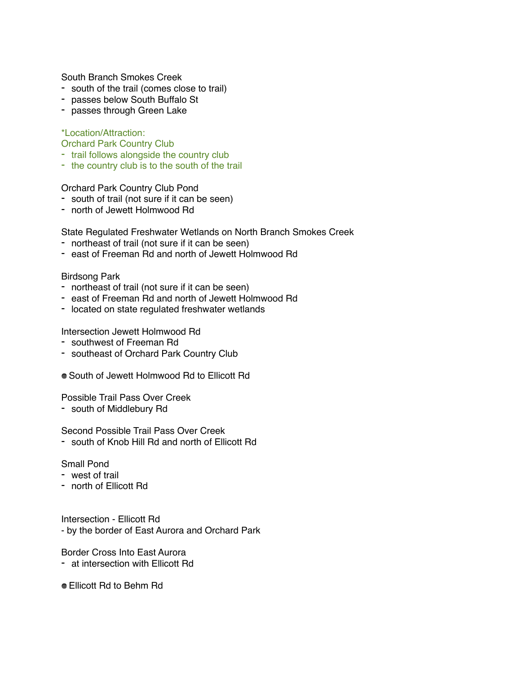South Branch Smokes Creek

- south of the trail (comes close to trail)
- passes below South Buffalo St
- passes through Green Lake

\*Location/Attraction:

Orchard Park Country Club

- trail follows alongside the country club
- the country club is to the south of the trail

Orchard Park Country Club Pond

- south of trail (not sure if it can be seen)
- north of Jewett Holmwood Rd

State Regulated Freshwater Wetlands on North Branch Smokes Creek

- northeast of trail (not sure if it can be seen)
- east of Freeman Rd and north of Jewett Holmwood Rd

#### Birdsong Park

- northeast of trail (not sure if it can be seen)
- east of Freeman Rd and north of Jewett Holmwood Rd
- located on state regulated freshwater wetlands

Intersection Jewett Holmwood Rd

- southwest of Freeman Rd
- southeast of Orchard Park Country Club
- South of Jewett Holmwood Rd to Ellicott Rd

Possible Trail Pass Over Creek

- south of Middlebury Rd

### Second Possible Trail Pass Over Creek

- south of Knob Hill Rd and north of Ellicott Rd

### Small Pond

- west of trail
- north of Ellicott Rd

Intersection - Ellicott Rd - by the border of East Aurora and Orchard Park

Border Cross Into East Aurora

- at intersection with Ellicott Rd
- Ellicott Rd to Behm Rd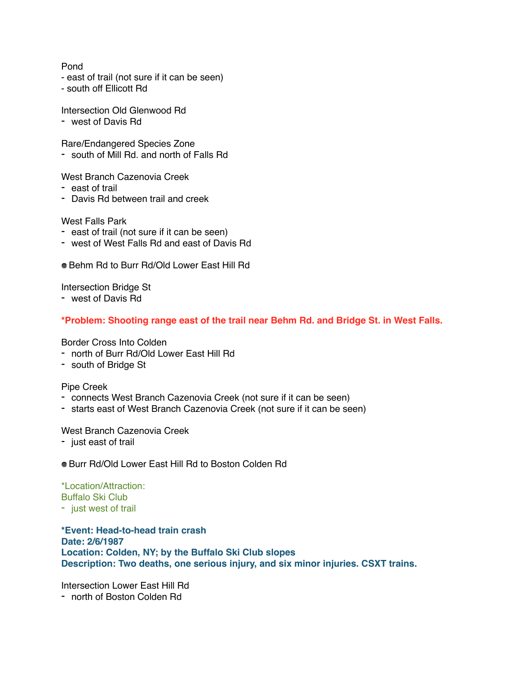### Pond

- east of trail (not sure if it can be seen)
- south off Ellicott Rd
- Intersection Old Glenwood Rd
- west of Davis Rd

Rare/Endangered Species Zone

- south of Mill Rd. and north of Falls Rd

West Branch Cazenovia Creek

- east of trail
- Davis Rd between trail and creek

West Falls Park

- east of trail (not sure if it can be seen)
- west of West Falls Rd and east of Davis Rd
- Behm Rd to Burr Rd/Old Lower Fast Hill Rd

Intersection Bridge St

- west of Davis Rd

## **\*Problem: Shooting range east of the trail near Behm Rd. and Bridge St. in West Falls.**

Border Cross Into Colden

- north of Burr Rd/Old Lower East Hill Rd
- south of Bridge St

### Pipe Creek

- connects West Branch Cazenovia Creek (not sure if it can be seen)
- starts east of West Branch Cazenovia Creek (not sure if it can be seen)

#### West Branch Cazenovia Creek

- just east of trail
- Burr Rd/Old Lower East Hill Rd to Boston Colden Rd

#### \*Location/Attraction: Buffalo Ski Club - just west of trail

# **\*Event: Head-to-head train crash Date: 2/6/1987 Location: Colden, NY; by the Buffalo Ski Club slopes Description: Two deaths, one serious injury, and six minor injuries. CSXT trains.**

Intersection Lower East Hill Rd - north of Boston Colden Rd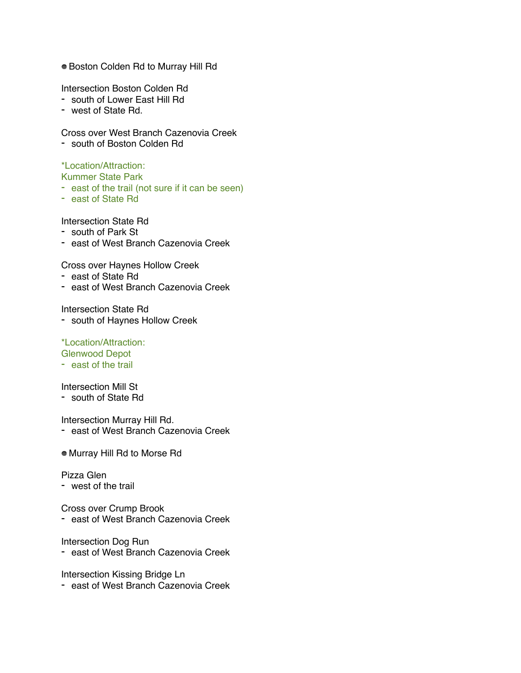Boston Colden Rd to Murray Hill Rd

Intersection Boston Colden Rd

- south of Lower East Hill Rd
- west of State Rd.

Cross over West Branch Cazenovia Creek

- south of Boston Colden Rd

## \*Location/Attraction:

Kummer State Park

- east of the trail (not sure if it can be seen)
- east of State Rd

Intersection State Rd

- south of Park St
- east of West Branch Cazenovia Creek

Cross over Haynes Hollow Creek

- east of State Rd
- east of West Branch Cazenovia Creek

Intersection State Rd

- south of Haynes Hollow Creek

\*Location/Attraction: Glenwood Depot

- east of the trail

Intersection Mill St

- south of State Rd

Intersection Murray Hill Rd.

- east of West Branch Cazenovia Creek
- Murray Hill Rd to Morse Rd

Pizza Glen

- west of the trail

Cross over Crump Brook

- east of West Branch Cazenovia Creek

Intersection Dog Run

- east of West Branch Cazenovia Creek

Intersection Kissing Bridge Ln

- east of West Branch Cazenovia Creek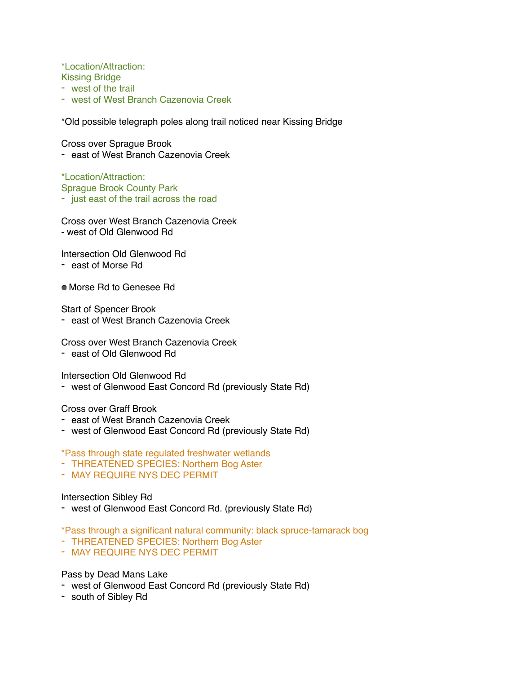\*Location/Attraction:

- Kissing Bridge - west of the trail
- west of West Branch Cazenovia Creek

\*Old possible telegraph poles along trail noticed near Kissing Bridge

Cross over Sprague Brook

- east of West Branch Cazenovia Creek

\*Location/Attraction: Sprague Brook County Park - just east of the trail across the road

Cross over West Branch Cazenovia Creek - west of Old Glenwood Rd

Intersection Old Glenwood Rd

- east of Morse Rd
- Morse Rd to Genesee Rd

Start of Spencer Brook

- east of West Branch Cazenovia Creek

Cross over West Branch Cazenovia Creek

- east of Old Glenwood Rd

Intersection Old Glenwood Rd

- west of Glenwood East Concord Rd (previously State Rd)

Cross over Graff Brook

- east of West Branch Cazenovia Creek
- west of Glenwood East Concord Rd (previously State Rd)

\*Pass through state regulated freshwater wetlands

- THREATENED SPECIES: Northern Bog Aster
- MAY REQUIRE NYS DEC PERMIT

Intersection Sibley Rd

- west of Glenwood East Concord Rd. (previously State Rd)
- \*Pass through a significant natural community: black spruce-tamarack bog
- THREATENED SPECIES: Northern Bog Aster
- MAY REQUIRE NYS DEC PERMIT

Pass by Dead Mans Lake

- west of Glenwood East Concord Rd (previously State Rd)
- south of Sibley Rd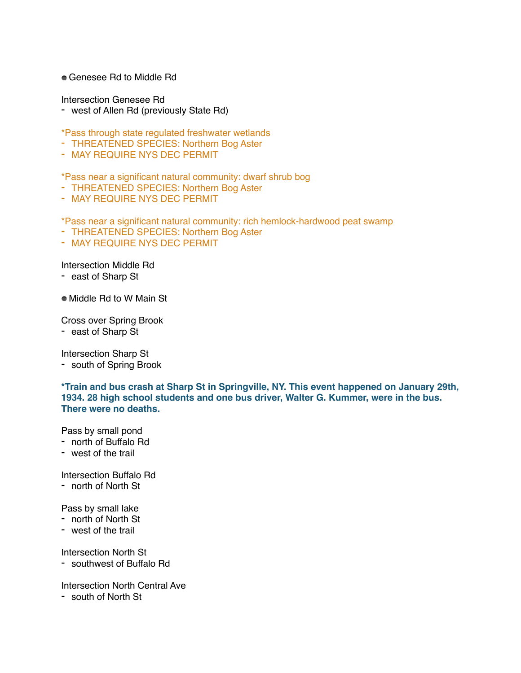#### Genesee Rd to Middle Rd

Intersection Genesee Rd

- west of Allen Rd (previously State Rd)

\*Pass through state regulated freshwater wetlands

- THREATENED SPECIES: Northern Bog Aster
- MAY REQUIRE NYS DEC PERMIT

\*Pass near a significant natural community: dwarf shrub bog

- THREATENED SPECIES: Northern Bog Aster
- MAY REQUIRE NYS DEC PERMIT

\*Pass near a significant natural community: rich hemlock-hardwood peat swamp

- THREATENED SPECIES: Northern Bog Aster
- MAY REQUIRE NYS DEC PERMIT

#### Intersection Middle Rd

- east of Sharp St
- Middle Rd to W Main St

Cross over Spring Brook

- east of Sharp St

Intersection Sharp St

- south of Spring Brook

**\*Train and bus crash at Sharp St in Springville, NY. This event happened on January 29th, 1934. 28 high school students and one bus driver, Walter G. Kummer, were in the bus. There were no deaths.**

Pass by small pond

- north of Buffalo Rd
- west of the trail

Intersection Buffalo Rd

- north of North St

Pass by small lake

- north of North St
- west of the trail

Intersection North St

- southwest of Buffalo Rd

Intersection North Central Ave

- south of North St